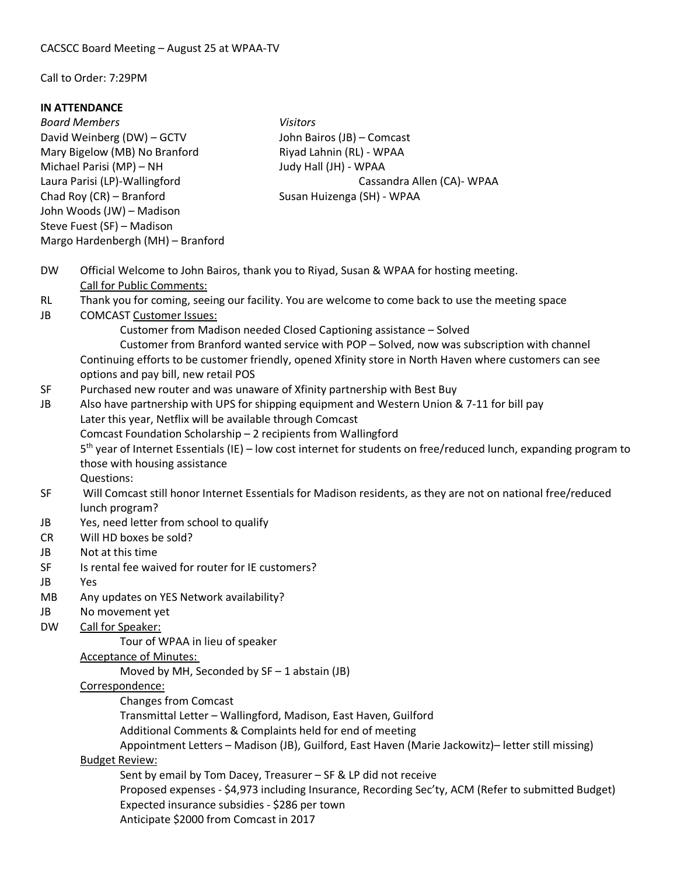#### Call to Order: 7:29PM

#### **IN ATTENDANCE**

*Board Members Visitors* David Weinberg (DW) – GCTV John Bairos (JB) – Comcast Mary Bigelow (MB) No Branford Riyad Lahnin (RL) - WPAA Michael Parisi (MP) – NH Judy Hall (JH) - WPAA Chad Roy (CR) – Branford Susan Huizenga (SH) - WPAA John Woods (JW) – Madison Steve Fuest (SF) – Madison Margo Hardenbergh (MH) – Branford

Laura Parisi (LP)-Wallingford Cassandra Allen (CA)- WPAA

- DW Official Welcome to John Bairos, thank you to Riyad, Susan & WPAA for hosting meeting. Call for Public Comments:
- RL Thank you for coming, seeing our facility. You are welcome to come back to use the meeting space
- JB COMCAST Customer Issues:

Customer from Madison needed Closed Captioning assistance – Solved

Customer from Branford wanted service with POP – Solved, now was subscription with channel Continuing efforts to be customer friendly, opened Xfinity store in North Haven where customers can see options and pay bill, new retail POS

- SF Purchased new router and was unaware of Xfinity partnership with Best Buy
- JB Also have partnership with UPS for shipping equipment and Western Union & 7-11 for bill pay Later this year, Netflix will be available through Comcast
	- Comcast Foundation Scholarship 2 recipients from Wallingford

5<sup>th</sup> year of Internet Essentials (IE) – low cost internet for students on free/reduced lunch, expanding program to those with housing assistance

Questions:

- SF Will Comcast still honor Internet Essentials for Madison residents, as they are not on national free/reduced lunch program?
- JB Yes, need letter from school to qualify
- CR Will HD boxes be sold?
- JB Not at this time
- SF Is rental fee waived for router for IE customers?
- JB Yes
- MB Any updates on YES Network availability?
- JB No movement yet

DW Call for Speaker:

Tour of WPAA in lieu of speaker

### Acceptance of Minutes:

Moved by MH, Seconded by  $SF - 1$  abstain (JB)

### Correspondence:

Changes from Comcast

Transmittal Letter – Wallingford, Madison, East Haven, Guilford

Additional Comments & Complaints held for end of meeting

Appointment Letters – Madison (JB), Guilford, East Haven (Marie Jackowitz)– letter still missing)

# Budget Review:

Sent by email by Tom Dacey, Treasurer – SF & LP did not receive

Proposed expenses - \$4,973 including Insurance, Recording Sec'ty, ACM (Refer to submitted Budget) Expected insurance subsidies - \$286 per town

Anticipate \$2000 from Comcast in 2017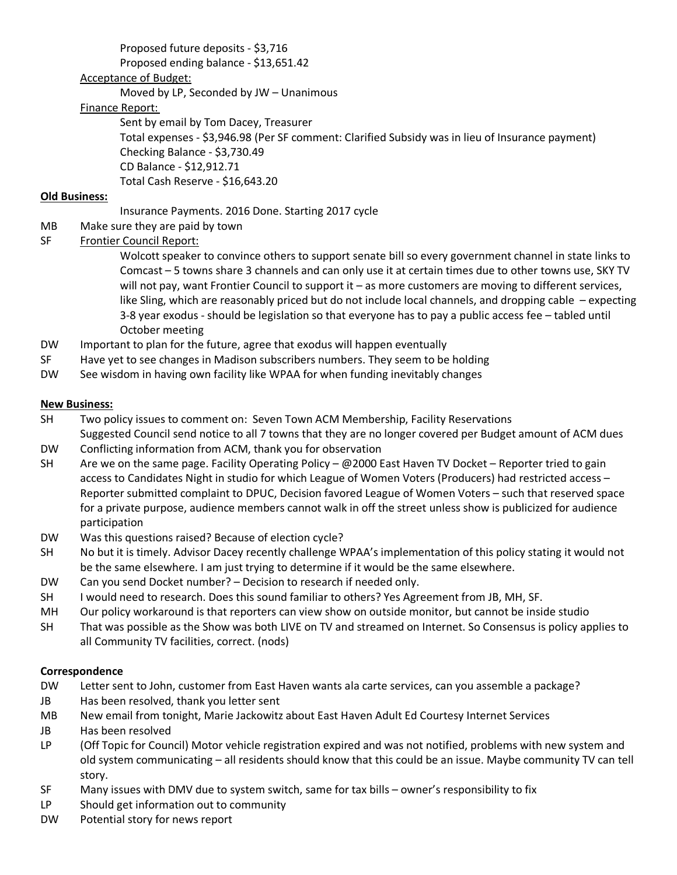# Proposed future deposits - \$3,716

Proposed ending balance - \$13,651.42

### Acceptance of Budget:

Moved by LP, Seconded by JW – Unanimous

# Finance Report:

Sent by email by Tom Dacey, Treasurer Total expenses - \$3,946.98 (Per SF comment: Clarified Subsidy was in lieu of Insurance payment) Checking Balance - \$3,730.49 CD Balance - \$12,912.71 Total Cash Reserve - \$16,643.20

# **Old Business:**

Insurance Payments. 2016 Done. Starting 2017 cycle

- MB Make sure they are paid by town
- SF Frontier Council Report:

Wolcott speaker to convince others to support senate bill so every government channel in state links to Comcast – 5 towns share 3 channels and can only use it at certain times due to other towns use, SKY TV will not pay, want Frontier Council to support it – as more customers are moving to different services, like Sling, which are reasonably priced but do not include local channels, and dropping cable – expecting 3-8 year exodus - should be legislation so that everyone has to pay a public access fee – tabled until October meeting

- DW Important to plan for the future, agree that exodus will happen eventually
- SF Have yet to see changes in Madison subscribers numbers. They seem to be holding
- DW See wisdom in having own facility like WPAA for when funding inevitably changes

# **New Business:**

- SH Two policy issues to comment on: Seven Town ACM Membership, Facility Reservations Suggested Council send notice to all 7 towns that they are no longer covered per Budget amount of ACM dues
- DW Conflicting information from ACM, thank you for observation
- SH Are we on the same page. Facility Operating Policy @2000 East Haven TV Docket Reporter tried to gain access to Candidates Night in studio for which League of Women Voters (Producers) had restricted access – Reporter submitted complaint to DPUC, Decision favored League of Women Voters – such that reserved space for a private purpose, audience members cannot walk in off the street unless show is publicized for audience participation
- DW Was this questions raised? Because of election cycle?
- SH No but it is timely. Advisor Dacey recently challenge WPAA's implementation of this policy stating it would not be the same elsewhere. I am just trying to determine if it would be the same elsewhere.
- DW Can you send Docket number? Decision to research if needed only.
- SH I would need to research. Does this sound familiar to others? Yes Agreement from JB, MH, SF.
- MH Our policy workaround is that reporters can view show on outside monitor, but cannot be inside studio
- SH That was possible as the Show was both LIVE on TV and streamed on Internet. So Consensus is policy applies to all Community TV facilities, correct. (nods)

### **Correspondence**

- DW Letter sent to John, customer from East Haven wants ala carte services, can you assemble a package?
- JB Has been resolved, thank you letter sent
- MB New email from tonight, Marie Jackowitz about East Haven Adult Ed Courtesy Internet Services
- JB Has been resolved
- LP (Off Topic for Council) Motor vehicle registration expired and was not notified, problems with new system and old system communicating – all residents should know that this could be an issue. Maybe community TV can tell story.
- SF Many issues with DMV due to system switch, same for tax bills owner's responsibility to fix
- LP Should get information out to community
- DW Potential story for news report